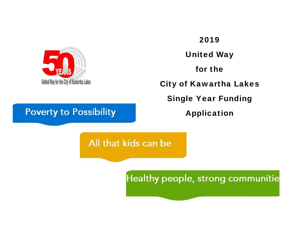

# 2019United Way for the City of Kawartha Lakes Single Year Funding Application

## **Poverty to Possibility**

## All that kids can be

## Healthy people, strong communitie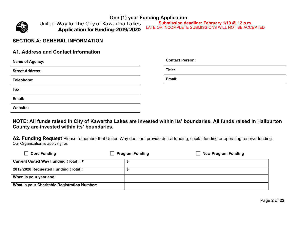

*United Way for the City of Kawartha Lakes Application for Funding-2019/2020*

**Submission deadline: February 1/19 @ 12 p.m.**  LATE OR INCOMPLETE SUBMISSIONS WILL NOT BE ACCEPTED

#### **SECTION A: GENERAL INFORMATION**

#### **A1. Address and Contact Information**

| <b>Name of Agency:</b> | <b>Contact Person:</b> |
|------------------------|------------------------|
| <b>Street Address:</b> | Title:                 |
| Telephone:             | Email:                 |
| Fax:                   |                        |
| Email:                 |                        |
| <b>Website:</b>        |                        |

**NOTE: All funds raised in City of Kawartha Lakes are invested within its' boundaries. All funds raised in Haliburton County are invested within its' boundaries.** 

**A2. Funding Request** Please remember that United Way does not provide deficit funding, capital funding or operating reserve funding. Our Organization is applying for:

| $\Box$ Core Funding                          | <b>Program Funding</b> | <b>New Program Funding</b> |
|----------------------------------------------|------------------------|----------------------------|
| Current United Way Funding (Total): *        |                        |                            |
| 2019/2020 Requested Funding (Total):         |                        |                            |
| When is your year end:                       |                        |                            |
| What is your Charitable Registration Number: |                        |                            |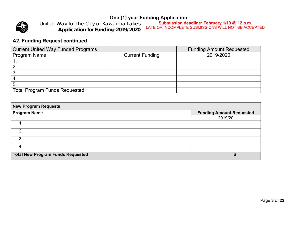

*United Way for the City of Kawartha Lakes Application for Funding-2019/2020*

**Submission deadline: February 1/19 @ 12 p.m.**  LATE OR INCOMPLETE SUBMISSIONS WILL NOT BE ACCEPTED

## **A2. Funding Request continued**

| <b>Current United Way Funded Programs</b> |                        | <b>Funding Amount Requested</b> |
|-------------------------------------------|------------------------|---------------------------------|
| <b>Program Name</b>                       | <b>Current Funding</b> | 2019/2020                       |
|                                           |                        |                                 |
|                                           |                        |                                 |
| 3                                         |                        |                                 |
| $\mathbf{A}$                              |                        |                                 |
| -5.                                       |                        |                                 |
| Total Program Funds Requested             |                        |                                 |

| <b>New Program Requests</b>              |                                 |  |  |  |  |  |  |
|------------------------------------------|---------------------------------|--|--|--|--|--|--|
| <b>Program Name</b>                      | <b>Funding Amount Requested</b> |  |  |  |  |  |  |
|                                          | 2019/20                         |  |  |  |  |  |  |
|                                          |                                 |  |  |  |  |  |  |
| $\mathcal{P}$                            |                                 |  |  |  |  |  |  |
| 3 <sub>1</sub>                           |                                 |  |  |  |  |  |  |
| -4.                                      |                                 |  |  |  |  |  |  |
| <b>Total New Program Funds Requested</b> |                                 |  |  |  |  |  |  |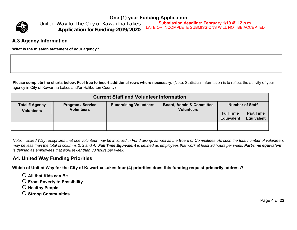

*United Way for the City of Kawartha Lakes Application for Funding-2019/2020*

**Submission deadline: February 1/19 @ 12 p.m.**  LATE OR INCOMPLETE SUBMISSIONS WILL NOT BE ACCEPTED

#### **A.3 Agency Information**

**What is the mission statement of your agency?** 

Please complete the charts below. Feel free to insert additional rows where necessary. (Note: Statistical information is to reflect the activity of your agency in City of Kawartha Lakes and/or Haliburton County)

| <b>Current Staff and Volunteer Information</b> |                                               |                               |                                                          |                                       |                                       |  |  |  |
|------------------------------------------------|-----------------------------------------------|-------------------------------|----------------------------------------------------------|---------------------------------------|---------------------------------------|--|--|--|
| <b>Total # Agency</b><br><b>Volunteers</b>     | <b>Program / Service</b><br><b>Volunteers</b> | <b>Fundraising Volunteers</b> | <b>Board, Admin &amp; Committee</b><br><b>Volunteers</b> | <b>Number of Staff</b>                |                                       |  |  |  |
|                                                |                                               |                               |                                                          | <b>Full Time</b><br><b>Equivalent</b> | <b>Part Time</b><br><b>Equivalent</b> |  |  |  |
|                                                |                                               |                               |                                                          |                                       |                                       |  |  |  |

*Note: United Way recognizes that one volunteer may be involved in Fundraising, as well as the Board or Committees. As such the total number of volunteers may be less than the total of columns 2, 3 and 4. Full Time Equivalent is defined as employees that work at least 30 hours per week. Part-time equivalent is defined as employees that work fewer than 30 hours per week.* 

#### **A4. United Way Funding Priorities**

**Which of United Way for the City of Kawartha Lakes four (4) priorities does this funding request primarily address?** 

- **All that Kids can Be**
- **From Poverty to Possibility**
- **Healthy People**
- **Strong Communities**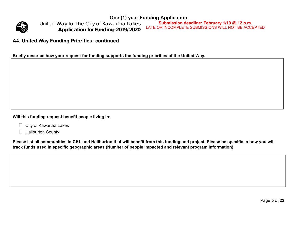

*United Way for the City of Kawartha Lakes Application for Funding-2019/2020*

**Submission deadline: February 1/19 @ 12 p.m.**  LATE OR INCOMPLETE SUBMISSIONS WILL NOT BE ACCEPTED

### **A4. United Way Funding Priorities: continued**

**Briefly describe how your request for funding supports the funding priorities of the United Way.** 

**Will this funding request benefit people living in:** 

- $\Box$  City of Kawartha Lakes
- $\Box$  Haliburton County

**Please list all communities in CKL and Haliburton that will benefit from this funding and project. Please be specific in how you will track funds used in specific geographic areas (Number of people impacted and relevant program information)**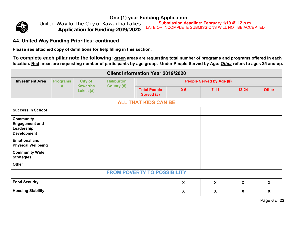

*United Way for the City of Kawartha Lakes Application for Funding-2019/2020*

**Submission deadline: February 1/19 @ 12 p.m.**  LATE OR INCOMPLETE SUBMISSIONS WILL NOT BE ACCEPTED

## **A4. United Way Funding Priorities: continued**

**Please see attached copy of definitions for help filling in this section.** 

**To complete each pillar note the following: green areas are requesting total number of programs and programs offered in each location. Red areas are requesting number of participants by age group. Under People Served by Age:** *Other* **refers to ages 25 and up.** 

| <b>Client Information Year 2019/2020</b>                                      |                 |                              |                   |                                   |                           |              |                           |              |
|-------------------------------------------------------------------------------|-----------------|------------------------------|-------------------|-----------------------------------|---------------------------|--------------|---------------------------|--------------|
| <b>Investment Area</b>                                                        | <b>Programs</b> | <b>City of</b>               | <b>Haliburton</b> | <b>People Served by Age (#)</b>   |                           |              |                           |              |
|                                                                               | #               | <b>Kawartha</b><br>Lakes (#) | County (#)        | <b>Total People</b><br>Served (#) | $0 - 6$                   | $7 - 11$     | $12 - 24$                 | <b>Other</b> |
|                                                                               |                 |                              |                   | <b>ALL THAT KIDS CAN BE</b>       |                           |              |                           |              |
| <b>Success in School</b>                                                      |                 |                              |                   |                                   |                           |              |                           |              |
| <b>Community</b><br><b>Engagement and</b><br>Leadership<br><b>Development</b> |                 |                              |                   |                                   |                           |              |                           |              |
| <b>Emotional and</b><br><b>Physical Wellbeing</b>                             |                 |                              |                   |                                   |                           |              |                           |              |
| <b>Community Wide</b><br><b>Strategies</b>                                    |                 |                              |                   |                                   |                           |              |                           |              |
| Other                                                                         |                 |                              |                   |                                   |                           |              |                           |              |
| <b>FROM POVERTY TO POSSIBILITY</b>                                            |                 |                              |                   |                                   |                           |              |                           |              |
| <b>Food Security</b>                                                          |                 |                              |                   |                                   | $\boldsymbol{\mathsf{X}}$ | $\mathbf{x}$ | $\boldsymbol{\mathsf{X}}$ | $\mathsf{X}$ |
| <b>Housing Stability</b>                                                      |                 |                              |                   |                                   | X                         | X            | $\boldsymbol{\mathsf{X}}$ | X            |

Page **6** of **22**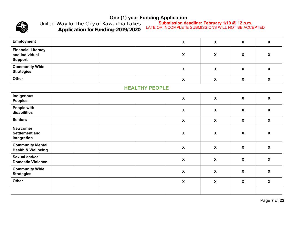

*United Way for the City of Kawartha Lakes Application for Funding-2019/2020*

**Submission deadline: February 1/19 @ 12 p.m.**  LATE OR INCOMPLETE SUBMISSIONS WILL NOT BE ACCEPTED

| Employment                                                    |  |                       | $\boldsymbol{\mathsf{X}}$ | $\boldsymbol{\mathsf{X}}$ | $\boldsymbol{X}$          | $\boldsymbol{X}$          |
|---------------------------------------------------------------|--|-----------------------|---------------------------|---------------------------|---------------------------|---------------------------|
| <b>Financial Literacy</b><br>and Individual<br><b>Support</b> |  |                       | $\boldsymbol{\mathsf{X}}$ | $\boldsymbol{\mathsf{X}}$ | $\boldsymbol{X}$          | $\boldsymbol{\mathsf{X}}$ |
| <b>Community Wide</b><br><b>Strategies</b>                    |  |                       | $\boldsymbol{\mathsf{X}}$ | $\mathbf{x}$              | $\boldsymbol{\mathsf{X}}$ | $\mathbf{x}$              |
| <b>Other</b>                                                  |  |                       | $\mathsf{X}$              | $\boldsymbol{X}$          | $\boldsymbol{X}$          | $\mathsf{x}$              |
|                                                               |  | <b>HEALTHY PEOPLE</b> |                           |                           |                           |                           |
| Indigenous<br><b>Peoples</b>                                  |  |                       | $\boldsymbol{\mathsf{X}}$ | $\boldsymbol{\mathsf{X}}$ | $\boldsymbol{\mathsf{X}}$ | $\mathsf{X}$              |
| People with<br>disabilities                                   |  |                       | $\boldsymbol{\mathsf{X}}$ | $\boldsymbol{\mathsf{X}}$ | $\boldsymbol{X}$          | $\mathsf{X}$              |
| <b>Seniors</b>                                                |  |                       | $\boldsymbol{X}$          | $\boldsymbol{X}$          | $\boldsymbol{X}$          | $\mathsf{X}$              |
| <b>Newcomer</b><br><b>Settlement and</b><br>Integration       |  |                       | $\boldsymbol{\mathsf{X}}$ | $\boldsymbol{\mathsf{X}}$ | $\boldsymbol{\mathsf{X}}$ | $\mathsf{X}$              |
| <b>Community Mental</b><br><b>Health &amp; Wellbeing</b>      |  |                       | $\boldsymbol{\mathsf{X}}$ | $\boldsymbol{\mathsf{X}}$ | $\boldsymbol{\mathsf{X}}$ | $\mathsf{X}$              |
| Sexual and/or<br><b>Domestic Violence</b>                     |  |                       | $\boldsymbol{\mathsf{X}}$ | $\boldsymbol{\mathsf{X}}$ | $\boldsymbol{X}$          | $\boldsymbol{\mathsf{X}}$ |
| <b>Community Wide</b><br><b>Strategies</b>                    |  |                       | $\boldsymbol{\mathsf{X}}$ | $\boldsymbol{X}$          | $\boldsymbol{X}$          | $\mathsf{X}$              |
| <b>Other</b>                                                  |  |                       | $\boldsymbol{\mathsf{X}}$ | $\boldsymbol{X}$          | $\boldsymbol{X}$          | $\mathsf{X}$              |
|                                                               |  |                       |                           |                           |                           |                           |

Page **7** of **22**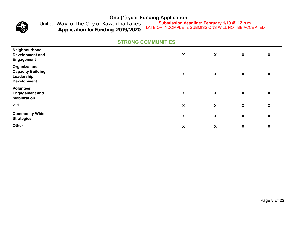

*United Way for the City of Kawartha Lakes Application for Funding-2019/2020*

**Submission deadline: February 1/19 @ 12 p.m.**  LATE OR INCOMPLETE SUBMISSIONS WILL NOT BE ACCEPTED

| <b>STRONG COMMUNITIES</b>                                                      |                    |                           |                           |   |  |  |  |
|--------------------------------------------------------------------------------|--------------------|---------------------------|---------------------------|---|--|--|--|
| Neighbourhood<br><b>Development and</b><br>Engagement                          | X                  | $\boldsymbol{\mathsf{X}}$ | X                         | X |  |  |  |
| Organizational<br><b>Capacity Building</b><br>Leadership<br><b>Development</b> | $\pmb{\mathsf{X}}$ | $\pmb{\mathsf{X}}$        | X                         | X |  |  |  |
| Volunteer<br><b>Engagement and</b><br><b>Mobilization</b>                      | X                  | X                         | X                         | X |  |  |  |
| 211                                                                            | X                  | X                         | $\boldsymbol{\mathsf{X}}$ | X |  |  |  |
| <b>Community Wide</b><br><b>Strategies</b>                                     | X                  | X                         | X                         | X |  |  |  |
| Other                                                                          | $\pmb{\mathsf{X}}$ | $\boldsymbol{\mathsf{X}}$ | X                         | X |  |  |  |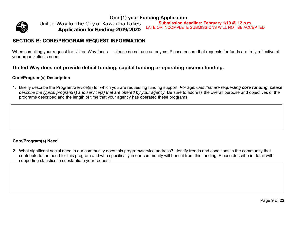

*United Way for the City of Kawartha Lakes Application for Funding-2019/2020*

**Submission deadline: February 1/19 @ 12 p.m.**  LATE OR INCOMPLETE SUBMISSIONS WILL NOT BE ACCEPTED

### **SECTION B: CORE/PROGRAM REQUEST INFORMATION**

When compiling your request for United Way funds — please do not use acronyms. Please ensure that requests for funds are truly reflective of your organization's need.

#### **United Way does not provide deficit funding, capital funding or operating reserve funding.**

#### **Core/Program(s) Description**

1. Briefly describe the Program/Service(s) for which you are requesting funding support. *For agencies that are requesting core funding, please describe the typical program(s) and service(s) that are offered by your agency.* Be sure to address the overall purpose and objectives of the programs described and the length of time that your agency has operated these programs.

#### **Core/Program(s) Need**

2. What significant social need in our community does this program/service address? Identify trends and conditions in the community that contribute to the need for this program and who specifically in our community will benefit from this funding. Please describe in detail with supporting statistics to substantiate your request.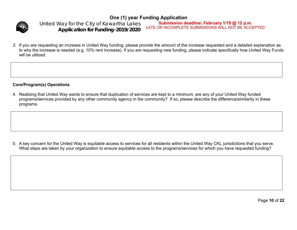

**One (1) year Funding Application**  *United Way for the City of Kawartha Lakes Application for Funding-2019/2020*

**Submission deadline: February 1/19 @ 12 p.m.**  LATE OR INCOMPLETE SUBMISSIONS WILL NOT BE ACCEPTED

*3.* If you are requesting an increase in United Way funding, please provide the amount of the increase requested and a detailed explanation as to why the increase is needed (e.g. 10% rent increase). If you are requesting new funding, please indicate specifically how United Way Funds will be utilized.

#### **Core/Program(s) Operations**

4. Realizing that United Way wants to ensure that duplication of services are kept to a minimum, are any of your United Way funded programs/services provided by any other community agency in the community? If so, please describe the difference/similarity in these programs.

5. A key concern for the United Way is equitable access to services for all residents within the United Way CKL jurisdictions that you serve. What steps are taken by your organization to ensure equitable access to the programs/services for which you have requested funding?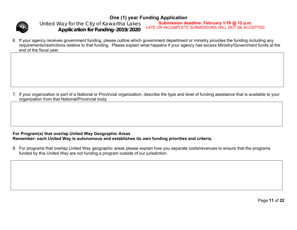

*United Way for the City of Kawartha Lakes Application for Funding-2019/2020*

**Submission deadline: February 1/19 @ 12 p.m.**  LATE OR INCOMPLETE SUBMISSIONS WILL NOT BE ACCEPTED

6. If your agency receives government funding, please outline which government department or ministry provides the funding including any requirements/restrictions relative to that funding. Please explain what happens if your agency has excess Ministry/Government funds at the end of the fiscal year.

7. If your organization is part of a National or Provincial organization, describe the type and level of funding assistance that is available to your organization from that National/Provincial body.

#### **For Program(s) that overlap United Way Geographic Areas Remember: each United Way is autonomous and establishes its own funding priorities and criteria.**

8. For programs that overlap United Way geographic areas please explain how you separate costs/revenues to ensure that the programs funded by this United Way are not funding a program outside of our jurisdiction.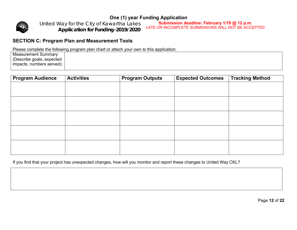

*United Way for the City of Kawartha Lakes Application for Funding-2019/2020*

**Submission deadline: February 1/19 @ 12 p.m.**  LATE OR INCOMPLETE SUBMISSIONS WILL NOT BE ACCEPTED

### **SECTION C: Program Plan and Measurement Tools**

Please complete the following program plan chart or attach your own to this application:

| <b>Measurement Summary</b> |
|----------------------------|
| (Describe goals, expected  |
| impacts, numbers served):  |

| <b>Program Audience</b> | <b>Activities</b> | <b>Program Outputs</b> | <b>Expected Outcomes</b> | <b>Tracking Method</b> |
|-------------------------|-------------------|------------------------|--------------------------|------------------------|
|                         |                   |                        |                          |                        |
|                         |                   |                        |                          |                        |
|                         |                   |                        |                          |                        |
|                         |                   |                        |                          |                        |
|                         |                   |                        |                          |                        |
|                         |                   |                        |                          |                        |
|                         |                   |                        |                          |                        |
|                         |                   |                        |                          |                        |
|                         |                   |                        |                          |                        |
|                         |                   |                        |                          |                        |

If you find that your project has unexpected changes, how will you monitor and report these changes to United Way CKL?

Page **12** of **22**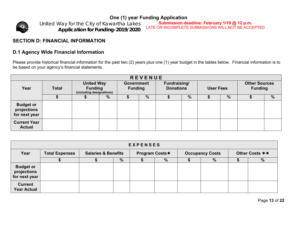

*United Way for the City of Kawartha Lakes Application for Funding-2019/2020*

**Submission deadline: February 1/19 @ 12 p.m.**  LATE OR INCOMPLETE SUBMISSIONS WILL NOT BE ACCEPTED

### **SECTION D: FINANCIAL INFORMATION**

## **D.1 Agency Wide Financial Information**

Please provide historical financial information for the past two (2) years plus one (1) year budget in the tables below. Financial information is to be based on your agency's financial statements.

| <b>REVENUE</b>                                   |              |                                                                 |   |                                     |               |                                  |               |                  |      |                                        |      |
|--------------------------------------------------|--------------|-----------------------------------------------------------------|---|-------------------------------------|---------------|----------------------------------|---------------|------------------|------|----------------------------------------|------|
| Year                                             | <b>Total</b> | <b>United Way</b><br><b>Funding</b><br>(including designations) |   | <b>Government</b><br><b>Funding</b> |               | Fundraising/<br><b>Donations</b> |               | <b>User Fees</b> |      | <b>Other Sources</b><br><b>Funding</b> |      |
|                                                  |              |                                                                 | % |                                     | $\frac{9}{6}$ |                                  | $\frac{0}{0}$ |                  | $\%$ |                                        | $\%$ |
| <b>Budget or</b><br>projections<br>for next year |              |                                                                 |   |                                     |               |                                  |               |                  |      |                                        |      |
| <b>Current Year</b><br><b>Actual</b>             |              |                                                                 |   |                                     |               |                                  |               |                  |      |                                        |      |

| <b>EXPENSES</b>                                  |                       |                                |   |                |      |                        |   |                |               |
|--------------------------------------------------|-----------------------|--------------------------------|---|----------------|------|------------------------|---|----------------|---------------|
| Year                                             | <b>Total Expenses</b> | <b>Salaries &amp; Benefits</b> |   | Program Costs* |      | <b>Occupancy Costs</b> |   | Other Costs ** |               |
|                                                  |                       |                                | % |                | $\%$ |                        | % |                | $\frac{9}{6}$ |
| <b>Budget or</b><br>projections<br>for next year |                       |                                |   |                |      |                        |   |                |               |
| <b>Current</b><br><b>Year Actual</b>             |                       |                                |   |                |      |                        |   |                |               |

Page **13** of **22**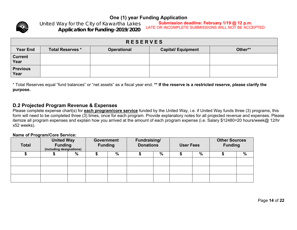

*United Way for the City of Kawartha Lakes Application for Funding-2019/2020*

**Submission deadline: February 1/19 @ 12 p.m.**  LATE OR INCOMPLETE SUBMISSIONS WILL NOT BE ACCEPTED

| <b>RESERVES</b>         |                         |                    |                           |         |  |  |  |  |
|-------------------------|-------------------------|--------------------|---------------------------|---------|--|--|--|--|
| <b>Year End</b>         | <b>Total Reserves *</b> | <b>Operational</b> | <b>Capital/ Equipment</b> | Other** |  |  |  |  |
| <b>Current</b><br>Year  |                         |                    |                           |         |  |  |  |  |
| <b>Previous</b><br>Year |                         |                    |                           |         |  |  |  |  |

\* Total Reserves equal "fund balances" or "net assets" as a fiscal year end. **\*\* If the reserve is a restricted reserve, please clarify the purpose.** 

#### **D.2 Projected Program Revenue & Expenses**

Please complete expense chart(s) for **each program/core service** funded by the United Way, i.e. if United Way funds three (3) programs, this form will need to be completed three (3) times, once for each program. Provide explanatory notes for all projected revenue and expenses. Please itemize all program expenses and explain how you arrived at the amount of each program expense (i.e. Salary \$12480=20 hours/week@ 12/hr x52 weeks).

#### **Name of Program/Core Service:**

| <b>Total</b> | <b>United Way</b><br><b>Funding</b><br>(including designations) |               | <b>Government</b><br><b>Funding</b> |   | Fundraising/<br><b>Donations</b> |   |  |   | <b>User Fees</b> |               | <b>Other Sources</b><br><b>Funding</b> |  |
|--------------|-----------------------------------------------------------------|---------------|-------------------------------------|---|----------------------------------|---|--|---|------------------|---------------|----------------------------------------|--|
|              |                                                                 | $\frac{0}{0}$ |                                     | % |                                  | % |  | % |                  | $\frac{0}{0}$ |                                        |  |
|              |                                                                 |               |                                     |   |                                  |   |  |   |                  |               |                                        |  |
|              |                                                                 |               |                                     |   |                                  |   |  |   |                  |               |                                        |  |
|              |                                                                 |               |                                     |   |                                  |   |  |   |                  |               |                                        |  |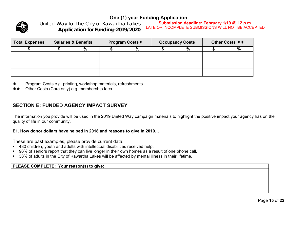

*United Way for the City of Kawartha Lakes Application for Funding-2019/2020*

**Submission deadline: February 1/19 @ 12 p.m.**  LATE OR INCOMPLETE SUBMISSIONS WILL NOT BE ACCEPTED

| <b>Total Expenses</b> | <b>Salaries &amp; Benefits</b> |      | <b>Program Costs*</b> |   | <b>Occupancy Costs</b> | Other Costs ** |      |  |
|-----------------------|--------------------------------|------|-----------------------|---|------------------------|----------------|------|--|
|                       |                                | $\%$ |                       | % | %                      |                | $\%$ |  |
|                       |                                |      |                       |   |                        |                |      |  |
|                       |                                |      |                       |   |                        |                |      |  |
|                       |                                |      |                       |   |                        |                |      |  |

- Program Costs e.g. printing, workshop materials, refreshments
- Other Costs (Core only) e.g. membership fees.

## **SECTION E: FUNDED AGENCY IMPACT SURVEY**

The information you provide will be used in the 2019 United Way campaign materials to highlight the positive impact your agency has on the quality of life in our community.

#### **E1. How donor dollars have helped in 2018 and reasons to give in 2019…**

These are past examples, please provide current data:

- 480 children, youth and adults with intellectual disabilities received help.
- 96% of seniors report that they can live longer in their own homes as a result of one phone call.
- 38% of adults in the City of Kawartha Lakes will be affected by mental illness in their lifetime.

**PLEASE COMPLETE: Your reason(s) to give:**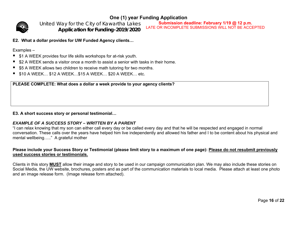

*United Way for the City of Kawartha Lakes Application for Funding-2019/2020*

**Submission deadline: February 1/19 @ 12 p.m.**  LATE OR INCOMPLETE SUBMISSIONS WILL NOT BE ACCEPTED

**E2. What a dollar provides for UW Funded Agency clients…** 

#### Examples –

- \$1 A WEEK provides four life skills workshops for at-risk youth.
- $\blacksquare$  \$2 A WEEK sends a visitor once a month to assist a senior with tasks in their home.
- \$5 A WEEK allows two children to receive math tutoring for two months.
- \$10 A WEEK… \$12 A WEEK…\$15 A WEEK… \$20 A WEEK… etc.

**PLEASE COMPLETE: What does a dollar a week provide to your agency clients?** 

#### **E3. A short success story or personal testimonial…**

#### *EXAMPLE OF A SUCCESS STORY – WRITTEN BY A PARENT*

"I can relax knowing that my son can either call every day or be called every day and that he will be respected and engaged in normal conversation. These calls over the years have helped him live independently and allowed his father and I to be content about his physical and mental wellbeing….." A grateful mother

#### **Please include your Success Story or Testimonial (please limit story to a maximum of one page): Please do not resubmit previously used success stories or testimonials.**

Clients in this story **MUST** allow their image and story to be used in our campaign communication plan. We may also include these stories on Social Media, the UW website, brochures, posters and as part of the communication materials to local media. Please attach at least one photo and an image release form. (Image release form attached).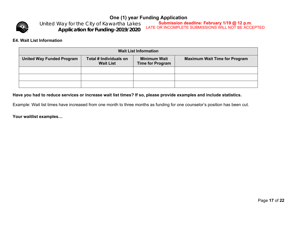

*United Way for the City of Kawartha Lakes Application for Funding-2019/2020*

**Submission deadline: February 1/19 @ 12 p.m.**  LATE OR INCOMPLETE SUBMISSIONS WILL NOT BE ACCEPTED

#### **E4. Wait List Information**

| <b>Wait List Information</b>     |                                            |                                                |                                      |  |  |  |  |
|----------------------------------|--------------------------------------------|------------------------------------------------|--------------------------------------|--|--|--|--|
| <b>United Way Funded Program</b> | Total # Individuals on<br><b>Wait List</b> | <b>Minimum Wait</b><br><b>Time for Program</b> | <b>Maximum Wait Time for Program</b> |  |  |  |  |
|                                  |                                            |                                                |                                      |  |  |  |  |
|                                  |                                            |                                                |                                      |  |  |  |  |
|                                  |                                            |                                                |                                      |  |  |  |  |

#### **Have you had to reduce services or increase wait list times? If so, please provide examples and include statistics.**

Example: Wait list times have increased from one month to three months as funding for one counselor's position has been cut.

**Your waitlist examples…**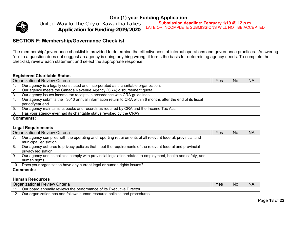

*United Way for the City of Kawartha Lakes Application for Funding-2019/2020*

**Submission deadline: February 1/19 @ 12 p.m.**  LATE OR INCOMPLETE SUBMISSIONS WILL NOT BE ACCEPTED

#### **SECTION F: Membership/Governance Checklist**

The membership/governance checklist is provided to determine the effectiveness of internal operations and governance practices. Answering "no" to a question does not suggest an agency is doing anything wrong, it forms the basis for determining agency needs. To complete the checklist, review each statement and select the appropriate response.

|      | <b>Registered Charitable Status</b>                                                                                                 |     |     |           |
|------|-------------------------------------------------------------------------------------------------------------------------------------|-----|-----|-----------|
|      | <b>Organizational Review Criteria</b>                                                                                               | Yes | No  | <b>NA</b> |
| 1.   | Our agency is a legally constituted and incorporated as a charitable organization.                                                  |     |     |           |
| 2.   | Our agency meets the Canada Revenue Agency (CRA) disbursement quota.                                                                |     |     |           |
| 3.   | Our agency issues income tax receipts in accordance with CRA guidelines.                                                            |     |     |           |
| 4.   | Our agency submits the T3010 annual information return to CRA within 6 months after the end of its fiscal<br>period/year end.       |     |     |           |
| 5.   | Our agency maintains its books and records as required by CRA and the Income Tax Act.                                               |     |     |           |
| 6.   | Has your agency ever had its charitable status revoked by the CRA?                                                                  |     |     |           |
|      | <b>Comments:</b>                                                                                                                    |     |     |           |
|      |                                                                                                                                     |     |     |           |
|      | <b>Legal Requirements</b>                                                                                                           |     |     |           |
|      | <b>Organizational Review Criteria</b>                                                                                               | Yes | No. | <b>NA</b> |
| 7.   | Our agency complies with the operating and reporting requirements of all relevant federal, provincial and<br>municipal legislation. |     |     |           |
| 8.   | Our agency adheres to privacy policies that meet the requirements of the relevant federal and provincial<br>privacy legislation.    |     |     |           |
| 9.   | Our agency and its policies comply with provincial legislation related to employment, health and safety, and<br>human rights.       |     |     |           |
| 10.1 | Does your organization have any current legal or human rights issues?                                                               |     |     |           |
|      | <b>Comments:</b>                                                                                                                    |     |     |           |
|      | <b>Human Resources</b>                                                                                                              |     |     |           |
|      | Organizational Review Criteria                                                                                                      | Yes | No  | <b>NA</b> |
| 11.1 | Our board annually reviews the performance of its Executive Director.                                                               |     |     |           |
| 12.  | Our organization has and follows human resource policies and procedures.                                                            |     |     |           |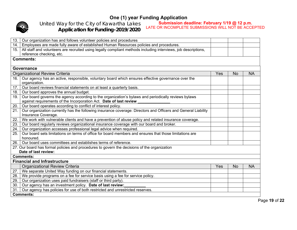

**Submission deadline: February 1/19 @ 12 p.m.**  LATE OR INCOMPLETE SUBMISSIONS WILL NOT BE ACCEPTED

*United Way for the City of Kawartha Lakes Application for Funding-2019/2020*

| 13.               | Our organization has and follows volunteer policies and procedures                                                                   |     |           |           |  |  |  |  |  |  |
|-------------------|--------------------------------------------------------------------------------------------------------------------------------------|-----|-----------|-----------|--|--|--|--|--|--|
| 14.               | Employees are made fully aware of established Human Resources policies and procedures.                                               |     |           |           |  |  |  |  |  |  |
| 15.               | All staff and volunteers are recruited using legally compliant methods including interviews, job descriptions,                       |     |           |           |  |  |  |  |  |  |
|                   | reference checking, etc.                                                                                                             |     |           |           |  |  |  |  |  |  |
|                   | <b>Comments:</b>                                                                                                                     |     |           |           |  |  |  |  |  |  |
|                   |                                                                                                                                      |     |           |           |  |  |  |  |  |  |
|                   | <b>Governance</b>                                                                                                                    |     |           |           |  |  |  |  |  |  |
|                   | <b>Organizational Review Criteria</b>                                                                                                | Yes | No        | <b>NA</b> |  |  |  |  |  |  |
| 16.               | Our agency has an active, responsible, voluntary board which ensures effective governance over the                                   |     |           |           |  |  |  |  |  |  |
|                   | organization.                                                                                                                        |     |           |           |  |  |  |  |  |  |
| 17.               | Our board reviews financial statements on at least a quarterly basis.                                                                |     |           |           |  |  |  |  |  |  |
| 18.               | Our board approves the annual budget.                                                                                                |     |           |           |  |  |  |  |  |  |
| 19.               | Our board governs the agency according to the organization's bylaws and periodically reviews bylaws                                  |     |           |           |  |  |  |  |  |  |
|                   | against requirements of the Incorporation Act. Date of last review                                                                   |     |           |           |  |  |  |  |  |  |
| 20.               | Our board operates according to conflict of interest policy.                                                                         |     |           |           |  |  |  |  |  |  |
| 21.               | Our organization currently has the following insurance coverage: Directors and Officers and General Liability<br>Insurance Coverage. |     |           |           |  |  |  |  |  |  |
| $\overline{22}$ . | We work with vulnerable clients and have a prevention of abuse policy and related insurance coverage.                                |     |           |           |  |  |  |  |  |  |
| 23.               | Our board regularly reviews organizational insurance coverage with our board and broker.                                             |     |           |           |  |  |  |  |  |  |
| 24.               | Our organization accesses professional legal advice when required.                                                                   |     |           |           |  |  |  |  |  |  |
| 25.               | Our board sets limitations on terms of office for board members and ensures that those limitations are                               |     |           |           |  |  |  |  |  |  |
|                   | honoured.                                                                                                                            |     |           |           |  |  |  |  |  |  |
| 26.               | Our board uses committees and establishes terms of reference.                                                                        |     |           |           |  |  |  |  |  |  |
|                   | 27. Our board has formal policies and procedures to govern the decisions of the organization                                         |     |           |           |  |  |  |  |  |  |
|                   | Date of last review:                                                                                                                 |     |           |           |  |  |  |  |  |  |
|                   | <b>Comments:</b>                                                                                                                     |     |           |           |  |  |  |  |  |  |
|                   | <b>Financial and Infrastructure</b>                                                                                                  |     |           |           |  |  |  |  |  |  |
|                   | <b>Organizational Review Criteria</b>                                                                                                | Yes | <b>No</b> | <b>NA</b> |  |  |  |  |  |  |
| 27.               | We separate United Way funding on our financial statements.                                                                          |     |           |           |  |  |  |  |  |  |
| 28.               | We provide programs on a fee for service basis using a fee for service policy.                                                       |     |           |           |  |  |  |  |  |  |
| 29.               | Our organization uses paid fundraisers (staff or third party).                                                                       |     |           |           |  |  |  |  |  |  |
| 30.               | Our agency has an investment policy. Date of last review:                                                                            |     |           |           |  |  |  |  |  |  |
| 31.               | Our agency has policies for use of both restricted and unrestricted reserves.                                                        |     |           |           |  |  |  |  |  |  |
|                   | <b>Comments:</b>                                                                                                                     |     |           |           |  |  |  |  |  |  |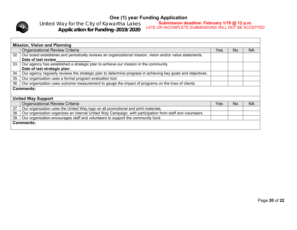

*United Way for the City of Kawartha Lakes Application for Funding-2019/2020* **Submission deadline: February 1/19 @ 12 p.m.** 

LATE OR INCOMPLETE SUBMISSIONS WILL NOT BE ACCEPTED

|     | <b>Mission, Vision and Planning</b>                                                                          |     |     |    |  |  |
|-----|--------------------------------------------------------------------------------------------------------------|-----|-----|----|--|--|
|     | <b>Organizational Review Criteria</b>                                                                        | Yes | No. | NA |  |  |
| 32. | Our board establishes and periodically reviews an organizational mission, vision and/or value statements.    |     |     |    |  |  |
|     | Date of last review                                                                                          |     |     |    |  |  |
| 33. | Our agency has established a strategic plan to achieve our mission in the community.                         |     |     |    |  |  |
|     | Date of last strategic plan:                                                                                 |     |     |    |  |  |
| 34. | Our agency regularly reviews the strategic plan to determine progress in achieving key goals and objectives. |     |     |    |  |  |
| 35. | Our organization uses a formal program evaluation tool.                                                      |     |     |    |  |  |
| 36. | Our organization uses outcome measurement to gauge the impact of programs on the lives of clients.           |     |     |    |  |  |
|     | <b>Comments:</b>                                                                                             |     |     |    |  |  |
|     |                                                                                                              |     |     |    |  |  |
|     | <b>United Way Support</b>                                                                                    |     |     |    |  |  |
|     | <b>Organizational Review Criteria</b>                                                                        | Yes | No  | NA |  |  |
| 37. | Our organization uses the United Way logo on all promotional and print materials.                            |     |     |    |  |  |
| 38. | Our organization organizes an internal United Way Campaign, with participation from staff and volunteers.    |     |     |    |  |  |
| 39. | Our organization encourages staff and volunteers to support the community fund.                              |     |     |    |  |  |
|     | <b>Comments:</b>                                                                                             |     |     |    |  |  |
|     |                                                                                                              |     |     |    |  |  |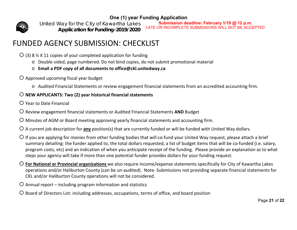*United Way for the City of Kawartha Lakes Application for Funding-2019/2020*

**Submission deadline: February 1/19 @ 12 p.m.**  LATE OR INCOMPLETE SUBMISSIONS WILL NOT BE ACCEPTED

## FUNDED AGENCY SUBMISSION: CHECKLIST

 $\bigcirc$  (3) 8 % X 11 copies of your completed application for funding

- o Double‐sided, page numbered. Do not bind copies, do not submit promotional material
- o **Email <sup>a</sup> PDF copy of all documents to office@ckl.unitedway.ca**
- Approved upcoming fiscal year budget
	- o Audited Financial Statements or review engagement financial statements from an accredited accounting firm.

## **NEW APPLICANTS: Two (2) year historical financial statements**

- Year to Date Financial
- Review engagement financial statements or Audited Financial Statements **AND** Budget
- Minutes of AGM or Board meeting approving yearly financial statements and accounting firm.
- A current job description for **any** position(s) that are currently funded or will be funded with United Way dollars.
- $\bigcirc$  If you are applying for monies from other funding bodies that will co-fund your United Way request, please attach a brief summary detailing: the funder applied to, the total dollars requested, a list of budget items that will be co-funded (i.e. salary, program costs, etc) and an indication of when you anticipate receipt of the funding. Please provide an explanation as to what steps your agency will take if more than one potential funder provides dollars for your funding request.
- **For National or Provincial organizations** we also require income/expense statements specifically for City of Kawartha Lakes operations and/or Haliburton County (can be un‐audited). Note‐ Submissions not providing separate financial statements for CKL and/or Haliburton County operations will not be considered.
- $O$  Annual report including program information and statistics
- O Board of Directors List: including addresses, occupations, terms of office, and board position